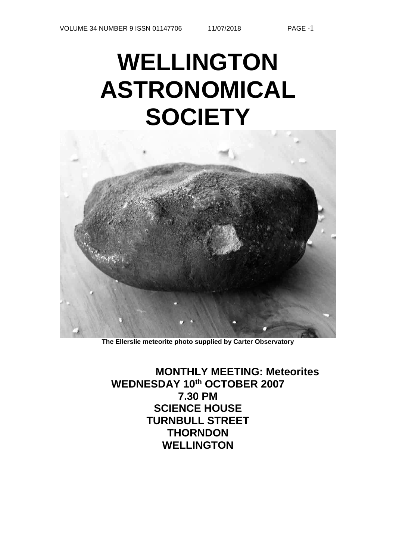# **WELLINGTON ASTRONOMICAL SOCIETY**



**The Ellerslie meteorite photo supplied by Carter Observatory**

**MONTHLY MEETING: Meteorites WEDNESDAY 10th OCTOBER 2007 7.30 PM SCIENCE HOUSE TURNBULL STREET THORNDON WELLINGTON**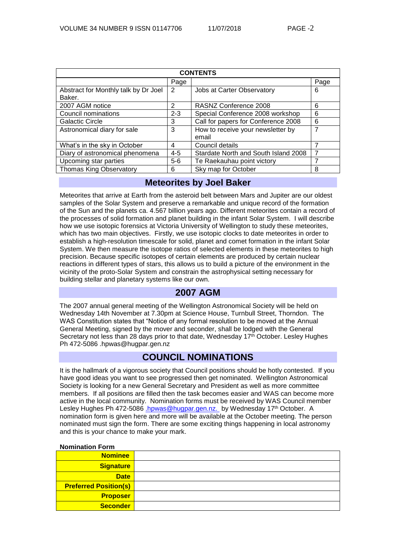| <b>CONTENTS</b>                                |               |                                            |      |  |  |  |  |
|------------------------------------------------|---------------|--------------------------------------------|------|--|--|--|--|
|                                                | Page          |                                            | Page |  |  |  |  |
| Abstract for Monthly talk by Dr Joel<br>Baker. | 2             | Jobs at Carter Observatory                 | 6    |  |  |  |  |
| 2007 AGM notice                                | $\mathcal{P}$ | RASNZ Conference 2008                      | 6    |  |  |  |  |
| Council nominations                            | $2 - 3$       | Special Conference 2008 workshop           | 6    |  |  |  |  |
| <b>Galactic Circle</b>                         | 3             | Call for papers for Conference 2008        | 6    |  |  |  |  |
| Astronomical diary for sale                    | 3             | How to receive your newsletter by<br>email | 7    |  |  |  |  |
| What's in the sky in October                   | 4             | Council details                            | 7    |  |  |  |  |
| Diary of astronomical phenomena                | $4 - 5$       | Stardate North and South Island 2008       | 7    |  |  |  |  |
| Upcoming star parties                          | $5-6$         | Te Raekauhau point victory                 | 7    |  |  |  |  |
| <b>Thomas King Observatory</b>                 | 6             | Sky map for October                        | 8    |  |  |  |  |

## **Meteorites by Joel Baker**

Meteorites that arrive at Earth from the asteroid belt between Mars and Jupiter are our oldest samples of the Solar System and preserve a remarkable and unique record of the formation of the Sun and the planets ca. 4.567 billion years ago. Different meteorites contain a record of the processes of solid formation and planet building in the infant Solar System. I will describe how we use isotopic forensics at Victoria University of Wellington to study these meteorites, which has two main objectives. Firstly, we use isotopic clocks to date meteorites in order to establish a high-resolution timescale for solid, planet and comet formation in the infant Solar System. We then measure the isotope ratios of selected elements in these meteorites to high precision. Because specific isotopes of certain elements are produced by certain nuclear reactions in different types of stars, this allows us to build a picture of the environment in the vicinity of the proto-Solar System and constrain the astrophysical setting necessary for building stellar and planetary systems like our own.

## **2007 AGM**

The 2007 annual general meeting of the Wellington Astronomical Society will be held on Wednesday 14th November at 7.30pm at Science House, Turnbull Street, Thorndon. The WAS Constitution states that "Notice of any formal resolution to be moved at the Annual General Meeting, signed by the mover and seconder, shall be lodged with the General Secretary not less than 28 days prior to that date, Wednesday 17<sup>th</sup> October. Lesley Hughes Ph 472-5086 .hpwas@hugpar.gen.nz

## **COUNCIL NOMINATIONS**

It is the hallmark of a vigorous society that Council positions should be hotly contested. If you have good ideas you want to see progressed then get nominated. Wellington Astronomical Society is looking for a new General Secretary and President as well as more committee members. If all positions are filled then the task becomes easier and WAS can become more active in the local community. Nomination forms must be received by WAS Council member Lesley Hughes Ph 472-5086 [.hpwas@hugpar.gen.nz.](mailto:.hpwas@hugpar.gen.nz.) by Wednesday 17<sup>th</sup> October. A nomination form is given here and more will be available at the October meeting. The person nominated must sign the form. There are some exciting things happening in local astronomy and this is your chance to make your mark.

| <b>Nominee</b>               |  |
|------------------------------|--|
| <b>Signature</b>             |  |
| <b>Date</b>                  |  |
| <b>Preferred Position(s)</b> |  |
| <b>Proposer</b>              |  |
| <b>Seconder</b>              |  |

#### **Nomination Form**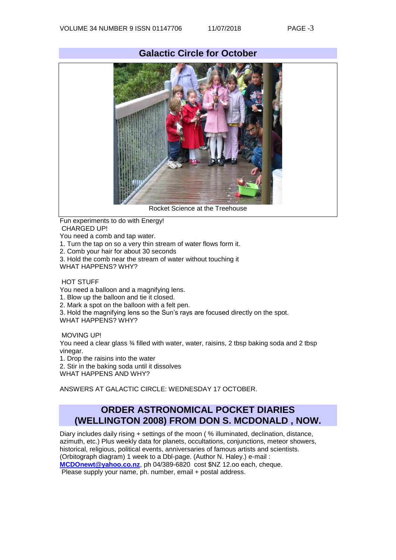

Fun experiments to do with Energy! CHARGED UP!

You need a comb and tap water.

- 1. Turn the tap on so a very thin stream of water flows form it.
- 2. Comb your hair for about 30 seconds
- 3. Hold the comb near the stream of water without touching it

WHAT HAPPENS? WHY?

## HOT STUFF

You need a balloon and a magnifying lens.

1. Blow up the balloon and tie it closed.

2. Mark a spot on the balloon with a felt pen.

3. Hold the magnifying lens so the Sun's rays are focused directly on the spot.

WHAT HAPPENS? WHY?

MOVING UP!

You need a clear glass 3⁄4 filled with water, water, raisins, 2 tbsp baking soda and 2 tbsp vinegar.

1. Drop the raisins into the water

2. Stir in the baking soda until it dissolves

WHAT HAPPENS AND WHY?

ANSWERS AT GALACTIC CIRCLE: WEDNESDAY 17 OCTOBER.

## **ORDER ASTRONOMICAL POCKET DIARIES (WELLINGTON 2008) FROM DON S. MCDONALD , NOW.**

Diary includes daily rising + settings of the moon ( % illuminated, declination, distance, azimuth, etc.) Plus weekly data for planets, occultations, conjunctions, meteor showers, historical, religious, political events, anniversaries of famous artists and scientists. (Orbitograph diagram) 1 week to a Dbl-page. (Author N. Haley.) e-mail : **[MCDOnewt@yahoo.co.nz](mailto:MCDOnewt@yahoo.co.nz)**, ph 04/389-6820 cost \$NZ 12.oo each, cheque.

Please supply your name, ph. number, email + postal address.

## **Galactic Circle for October**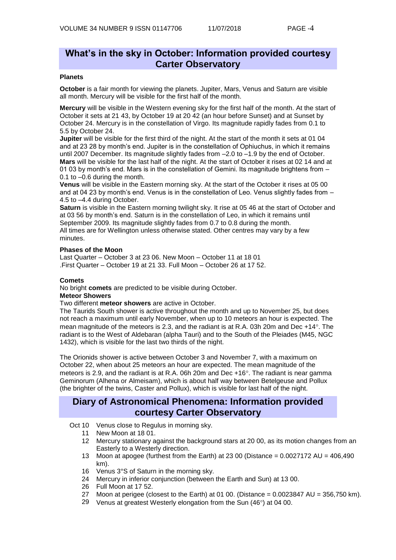## **What's in the sky in October: Information provided courtesy Carter Observatory**

## **Planets**

**October** is a fair month for viewing the planets. Jupiter, Mars, Venus and Saturn are visible all month. Mercury will be visible for the first half of the month.

**Mercury** will be visible in the Western evening sky for the first half of the month. At the start of October it sets at 21 43, by October 19 at 20 42 (an hour before Sunset) and at Sunset by October 24. Mercury is in the constellation of Virgo. Its magnitude rapidly fades from 0.1 to 5.5 by October 24.

**Jupiter** will be visible for the first third of the night. At the start of the month it sets at 01 04 and at 23 28 by month's end. Jupiter is in the constellation of Ophiuchus, in which it remains until 2007 December. Its magnitude slightly fades from –2.0 to –1.9 by the end of October. **Mars** will be visible for the last half of the night. At the start of October it rises at 02 14 and at 01 03 by month's end. Mars is in the constellation of Gemini. Its magnitude brightens from – 0.1 to –0.6 during the month.

**Venus** will be visible in the Eastern morning sky. At the start of the October it rises at 05 00 and at 04 23 by month's end. Venus is in the constellation of Leo. Venus slightly fades from – 4.5 to –4.4 during October.

**Saturn** is visible in the Eastern morning twilight sky. It rise at 05 46 at the start of October and at 03 56 by month's end. Saturn is in the constellation of Leo, in which it remains until September 2009. Its magnitude slightly fades from 0.7 to 0.8 during the month. All times are for Wellington unless otherwise stated. Other centres may vary by a few minutes.

#### **Phases of the Moon**

Last Quarter – October 3 at 23 06. New Moon – October 11 at 18 01 .First Quarter – October 19 at 21 33. Full Moon – October 26 at 17 52.

#### **Comets**

No bright **comets** are predicted to be visible during October.

## **Meteor Showers**

Two different **meteor showers** are active in October.

The Taurids South shower is active throughout the month and up to November 25, but does not reach a maximum until early November, when up to 10 meteors an hour is expected. The mean magnitude of the meteors is 2.3, and the radiant is at R.A. 03h 20m and Dec  $+14^{\circ}$ . The radiant is to the West of Aldebaran (alpha Tauri) and to the South of the Pleiades (M45, NGC 1432), which is visible for the last two thirds of the night.

The Orionids shower is active between October 3 and November 7, with a maximum on October 22, when about 25 meteors an hour are expected. The mean magnitude of the meteors is 2.9, and the radiant is at R.A. 06h 20m and Dec +16°. The radiant is near gamma Geminorum (Alhena or Almeisam), which is about half way between Betelgeuse and Pollux (the brighter of the twins, Caster and Pollux), which is visible for last half of the night.

## **Diary of Astronomical Phenomena: Information provided courtesy Carter Observatory**

Oct 10 Venus close to Regulus in morning sky.

- 11 New Moon at 18 01.
- 12 Mercury stationary against the background stars at 20 00, as its motion changes from an Easterly to a Westerly direction.
- 13 Moon at apogee (furthest from the Earth) at 23 00 (Distance =  $0.0027172$  AU =  $406,490$ km).
- 16 Venus 3°S of Saturn in the morning sky.
- 24 Mercury in inferior conjunction (between the Earth and Sun) at 13 00.
- 26 Full Moon at 17 52.
- 27 Moon at perigee (closest to the Earth) at 01 00. (Distance  $= 0.0023847$  AU  $= 356,750$  km).
- 29 Venus at greatest Westerly elongation from the Sun  $(46^{\circ})$  at 04 00.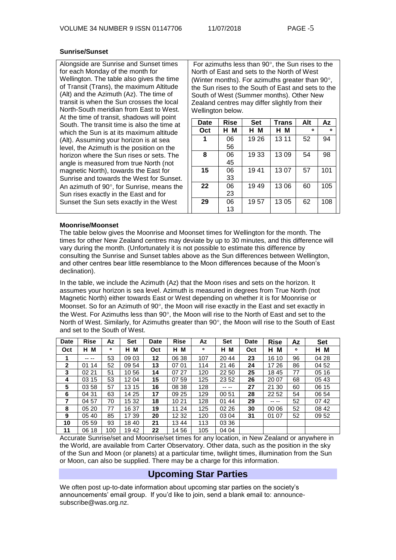#### **Sunrise/Sunset**

Alongside are Sunrise and Sunset times for each Monday of the month for Wellington. The table also gives the time of Transit (Trans), the maximum Altitude (Alt) and the Azimuth (Az). The time of transit is when the Sun crosses the local North-South meridian from East to West. At the time of transit, shadows will point South. The transit time is also the time at which the Sun is at its maximum altitude (Alt). Assuming your horizon is at sea level, the Azimuth is the position on the horizon where the Sun rises or sets. The angle is measured from true North (not magnetic North), towards the East for Sunrise and towards the West for Sunset. An azimuth of  $90^\circ$ , for Sunrise, means the Sun rises exactly in the East and for Sunset the Sun sets exactly in the West

For azimuths less than  $90^\circ$ , the Sun rises to the North of East and sets to the North of West (Winter months). For azimuths greater than  $90^\circ$ , the Sun rises to the South of East and sets to the South of West (Summer months). Other New Zealand centres may differ slightly from their Wellington below.

| Date | <b>Rise</b> | <b>Set</b> | <b>Trans</b> | Alt | Az  |
|------|-------------|------------|--------------|-----|-----|
| Oct  | н м         | н м        | нм           | ۰   | ۰   |
| 1    | 06          | 19 26      | 13 11        | 52  | 94  |
|      | 56          |            |              |     |     |
| 8    | 06          | 19 33      | 1309         | 54  | 98  |
|      | 45          |            |              |     |     |
| 15   | 06          | 1941       | 1307         | 57  | 101 |
|      | 33          |            |              |     |     |
| 22   | 06          | 1949       | 1306         | 60  | 105 |
|      | 23          |            |              |     |     |
| 29   | 06          | 1957       | 1305         | 62  | 108 |
|      | 13          |            |              |     |     |

#### **Moonrise/Moonset**

The table below gives the Moonrise and Moonset times for Wellington for the month. The times for other New Zealand centres may deviate by up to 30 minutes, and this difference will vary during the month. (Unfortunately it is not possible to estimate this difference by consulting the Sunrise and Sunset tables above as the Sun differences between Wellington, and other centres bear little resemblance to the Moon differences because of the Moon's declination).

In the table, we include the Azimuth (Az) that the Moon rises and sets on the horizon. It assumes your horizon is sea level. Azimuth is measured in degrees from True North (not Magnetic North) either towards East or West depending on whether it is for Moonrise or Moonset. So for an Azimuth of  $90^{\circ}$ , the Moon will rise exactly in the East and set exactly in the West. For Azimuths less than  $90^{\circ}$ , the Moon will rise to the North of East and set to the North of West. Similarly, for Azimuths greater than  $90^\circ$ , the Moon will rise to the South of East and set to the South of West.

| <b>Date</b>  | <b>Rise</b> | Αz  | <b>Set</b> | <b>Date</b> | <b>Rise</b> | Az      | Set    | Date | <b>Rise</b> | Az      | <b>Set</b> |
|--------------|-------------|-----|------------|-------------|-------------|---------|--------|------|-------------|---------|------------|
| Oct          | M<br>н      | ۰   | M<br>н     | Oct         | м<br>н      | $\circ$ | н<br>м | Oct  | М<br>н      | $\circ$ | H M        |
| 1            | -- --       | 53  | 09 03      | 12          | 06 38       | 107     | 20 44  | 23   | 16 10       | 96      | 04 28      |
| $\mathbf{2}$ | 01 14       | 52  | 09 54      | 13          | 07 01       | 114     | 21 46  | 24   | 17 26       | 86      | 04 52      |
| 3            | 02 21       | 51  | 1056       | 14          | 07 27       | 120     | 22 50  | 25   | 1845        | 77      | 05 16      |
| 4            | 03 15       | 53  | 12 04      | 15          | 07 59       | 125     | 23 52  | 26   | 20 07       | 68      | 05 43      |
| 5            | 03 58       | 57  | 13 15      | 16          | 08 38       | 128     | -- --  | 27   | 21 30       | 60      | 06 15      |
| 6            | 04 31       | 63  | 14 25      | 17          | 09 25       | 129     | 00 51  | 28   | 22 52       | 54      | 06 54      |
| 7            | 04 57       | 70  | 15 32      | 18          | 1021        | 128     | 01 44  | 29   | -- --       | 52      | 0742       |
| 8            | 05 20       | 77  | 16 37      | 19          | 11 24       | 125     | 02 26  | 30   | 00 06       | 52      | 08 42      |
| 9            | 05 40       | 85  | 17 39      | 20          | 12 32       | 120     | 03 04  | 31   | 01 07       | 52      | 09 52      |
| 10           | 05 59       | 93  | 18 40      | 21          | 1344        | 113     | 03 36  |      |             |         |            |
| 11           | 06 18       | 100 | 1942       | 22          | 14 56       | 105     | 04 04  |      |             |         |            |

Accurate Sunrise/set and Moonrise/set times for any location, in New Zealand or anywhere in the World, are available from Carter Observatory. Other data, such as the position in the sky of the Sun and Moon (or planets) at a particular time, twilight times, illumination from the Sun or Moon, can also be supplied. There may be a charge for this information.

## **Upcoming Star Parties**

We often post up-to-date information about upcoming star parties on the society's announcements' email group. If you'd like to join, send a blank email to: [announce](mailto:announce-subscribe@astronomy.wellington.net.nz)[subscribe@was.org.nz.](mailto:announce-subscribe@astronomy.wellington.net.nz)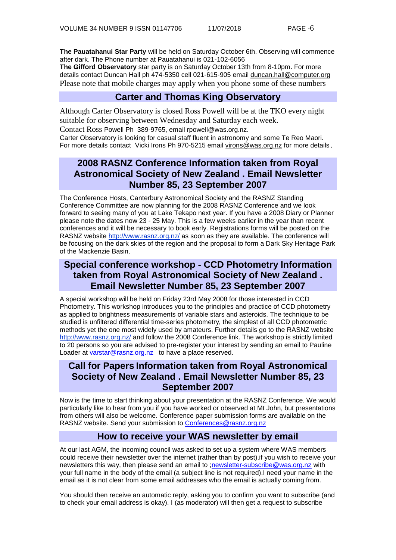**The Pauatahanui Star Party** will be held on Saturday October 6th. Observing will commence after dark. The Phone number at Pauatahanui is 021-102-6056

**The Gifford Observatory** star party is on Saturday October 13th from 8-10pm. For more details contact Duncan Hall ph 474-5350 cell 021-615-905 emai[l duncan.hall@computer.org](mailto:duncan.hall@computer.org) Please note that mobile charges may apply when you phone some of these numbers

## **Carter and Thomas King Observatory**

Although Carter Observatory is closed Ross Powell will be at the TKO every night suitable for observing between Wednesday and Saturday each week.

Contact Ross Powell Ph 389-9765, email [rpowell@was.org.nz.](mailto:rpowell@astronomy.wellington.net.nz)

Carter Observatory is looking for casual staff fluent in astronomy and some Te Reo Maori. For more details contact Vicki Irons Ph 970-5215 emai[l virons@was.org.nz](mailto:virons@astronomy.wellington.net.nz) for more details.

# **2008 RASNZ Conference Information taken from Royal Astronomical Society of New Zealand . Email Newsletter Number 85, 23 September 2007**

The Conference Hosts, Canterbury Astronomical Society and the RASNZ Standing Conference Committee are now planning for the 2008 RASNZ Conference and we look forward to seeing many of you at Lake Tekapo next year. If you have a 2008 Diary or Planner please note the dates now 23 - 25 May. This is a few weeks earlier in the year than recent conferences and it will be necessary to book early. Registrations forms will be posted on the RASNZ website<http://www.rasnz.org.nz/> as soon as they are available. The conference will be focusing on the dark skies of the region and the proposal to form a Dark Sky Heritage Park of the Mackenzie Basin.

# **Special conference workshop - CCD Photometry Information taken from Royal Astronomical Society of New Zealand . Email Newsletter Number 85, 23 September 2007**

A special workshop will be held on Friday 23rd May 2008 for those interested in CCD Photometry. This workshop introduces you to the principles and practice of CCD photometry as applied to brightness measurements of variable stars and asteroids. The technique to be studied is unfiltered differential time-series photometry, the simplest of all CCD photometric methods yet the one most widely used by amateurs. Further details go to the RASNZ website <http://www.rasnz.org.nz/> and follow the 2008 Conference link. The workshop is strictly limited to 20 persons so you are advised to pre-register your interest by sending an email to Pauline Loader at [varstar@rasnz.org.nz](mailto:varstar@rasnz.org.nz) to have a place reserved.

## **Call for Papers Information taken from Royal Astronomical Society of New Zealand . Email Newsletter Number 85, 23 September 2007**

Now is the time to start thinking about your presentation at the RASNZ Conference. We would particularly like to hear from you if you have worked or observed at Mt John, but presentations from others will also be welcome. Conference paper submission forms are available on the RASNZ website. Send your submission to [Conferences@rasnz.org.nz](mailto:Conferences@rasnz.org.nz)

## **How to receive your WAS newsletter by email**

At our last AGM, the incoming council was asked to set up a system where WAS members could receive their newsletter over the internet (rather than by post).if you wish to receive your newsletters this way, then please send an email to [;newsletter-subscribe@was.org.nz](mailto:newsletter-subscribe@was.org.nz) with your full name in the body of the email (a subject line is not required).I need your name in the email as it is not clear from some email addresses who the email is actually coming from.

You should then receive an automatic reply, asking you to confirm you want to subscribe (and to check your email address is okay). I (as moderator) will then get a request to subscribe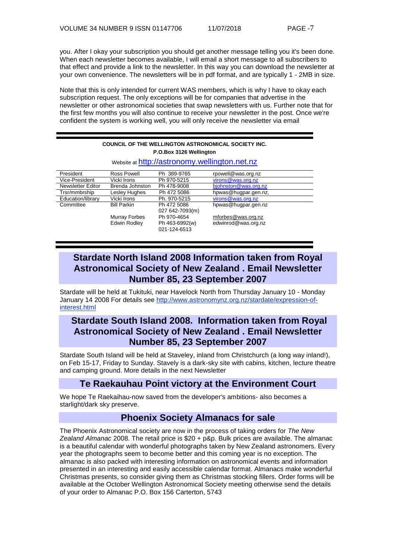you. After I okay your subscription you should get another message telling you it's been done. When each newsletter becomes available, I will email a short message to all subscribers to that effect and provide a link to the newsletter. In this way you can download the newsletter at your own convenience. The newsletters will be in pdf format, and are typically 1 - 2MB in size.

Note that this is only intended for current WAS members, which is why I have to okay each subscription request. The only exceptions will be for companies that advertise in the newsletter or other astronomical societies that swap newsletters with us. Further note that for the first few months you will also continue to receive your newsletter in the post. Once we're confident the system is working well, you will only receive the newsletter via email

| <b>COUNCIL OF THE WELLINGTON ASTRONOMICAL SOCIETY INC.</b><br>P.O.Box 3126 Wellington |                    |                                |                      |  |  |  |  |
|---------------------------------------------------------------------------------------|--------------------|--------------------------------|----------------------|--|--|--|--|
| Website at http://astronomy.wellington.net.nz                                         |                    |                                |                      |  |  |  |  |
| President                                                                             | <b>Ross Powell</b> | Ph 389-9765                    | rpowell@was.org.nz   |  |  |  |  |
| Vice-President                                                                        | Vicki Irons        | Ph 970-5215                    | virons@was.org.nz    |  |  |  |  |
| <b>Newsletter Editor</b>                                                              | Brenda Johnston    | Ph 478-9008                    | bjohnston@was.org.nz |  |  |  |  |
| Trsr/mmbrship                                                                         | Lesley Hughes      | Ph 472 5086                    | hpwas@hugpar.gen.nz, |  |  |  |  |
| Education/library                                                                     | Vicki Irons        | Ph. 970-5215                   | virons@was.org.nz    |  |  |  |  |
| Committee                                                                             | <b>Bill Parkin</b> | Ph 472 5086                    | hpwas@hugpar.gen.nz  |  |  |  |  |
|                                                                                       |                    | 027 642-7093(m)                |                      |  |  |  |  |
|                                                                                       | Murray Forbes      | Ph 970-4654                    | mforbes@was.org.nz   |  |  |  |  |
|                                                                                       | Edwin Rodley       | Ph 463-6992(w)<br>021-124-6513 | edwinrod@was.org.nz  |  |  |  |  |

# **Stardate North Island 2008 Information taken from Royal Astronomical Society of New Zealand . Email Newsletter Number 85, 23 September 2007**

Stardate will be held at Tukituki, near Havelock North from Thursday January 10 - Monday January 14 2008 For details see [http://www.astronomynz.org.nz/stardate/expression-of](http://www.astronomynz.org.nz/stardate/expression-of-interest.html)[interest.html](http://www.astronomynz.org.nz/stardate/expression-of-interest.html)

## **Stardate South Island 2008. Information taken from Royal Astronomical Society of New Zealand . Email Newsletter Number 85, 23 September 2007**

Stardate South Island will be held at Staveley, inland from Christchurch (a long way inland!), on Feb 15-17, Friday to Sunday. Stavely is a dark-sky site with cabins, kitchen, lecture theatre and camping ground. More details in the next Newsletter

## **Te Raekauhau Point victory at the Environment Court**

We hope Te Raekaihau-now saved from the developer's ambitions- also becomes a starlight/dark sky preserve.

## **Phoenix Society Almanacs for sale**

The Phoenix Astronomical society are now in the process of taking orders for *The New Zealand Almanac* 2008. The retail price is \$20 + p&p. Bulk prices are available. The almanac is a beautiful calendar with wonderful photographs taken by New Zealand astronomers. Every year the photographs seem to become better and this coming year is no exception. The almanac is also packed with interesting information on astronomical events and information presented in an interesting and easily accessible calendar format. Almanacs make wonderful Christmas presents, so consider giving them as Christmas stocking fillers. Order forms will be available at the October Wellington Astronomical Society meeting otherwise send the details of your order to Almanac P.O. Box 156 Carterton, 5743